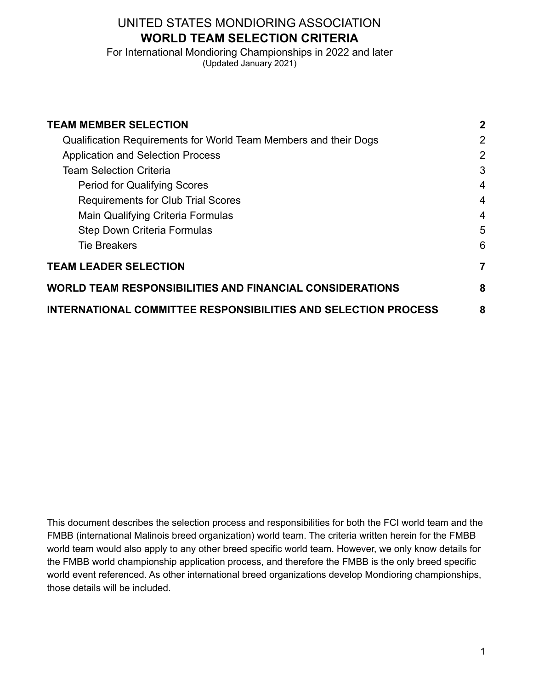## UNITED STATES MONDIORING ASSOCIATION **WORLD TEAM SELECTION CRITERIA**

For International Mondioring Championships in 2022 and later (Updated January 2021)

| <b>TEAM MEMBER SELECTION</b><br>Qualification Requirements for World Team Members and their Dogs<br><b>Application and Selection Process</b><br><b>Team Selection Criteria</b><br><b>Period for Qualifying Scores</b><br><b>Requirements for Club Trial Scores</b><br>Main Qualifying Criteria Formulas<br><b>Step Down Criteria Formulas</b><br><b>Tie Breakers</b> | $\mathbf{2}$<br>2<br>2<br>3<br>4<br>4 |                                                                       |                              |
|----------------------------------------------------------------------------------------------------------------------------------------------------------------------------------------------------------------------------------------------------------------------------------------------------------------------------------------------------------------------|---------------------------------------|-----------------------------------------------------------------------|------------------------------|
|                                                                                                                                                                                                                                                                                                                                                                      |                                       | $\overline{4}$                                                        |                              |
|                                                                                                                                                                                                                                                                                                                                                                      |                                       | 5<br>6                                                                |                              |
|                                                                                                                                                                                                                                                                                                                                                                      |                                       |                                                                       | <b>TEAM LEADER SELECTION</b> |
|                                                                                                                                                                                                                                                                                                                                                                      |                                       | <b>WORLD TEAM RESPONSIBILITIES AND FINANCIAL CONSIDERATIONS</b>       | 8                            |
|                                                                                                                                                                                                                                                                                                                                                                      |                                       | <b>INTERNATIONAL COMMITTEE RESPONSIBILITIES AND SELECTION PROCESS</b> | 8                            |

This document describes the selection process and responsibilities for both the FCI world team and the FMBB (international Malinois breed organization) world team. The criteria written herein for the FMBB world team would also apply to any other breed specific world team. However, we only know details for the FMBB world championship application process, and therefore the FMBB is the only breed specific world event referenced. As other international breed organizations develop Mondioring championships, those details will be included.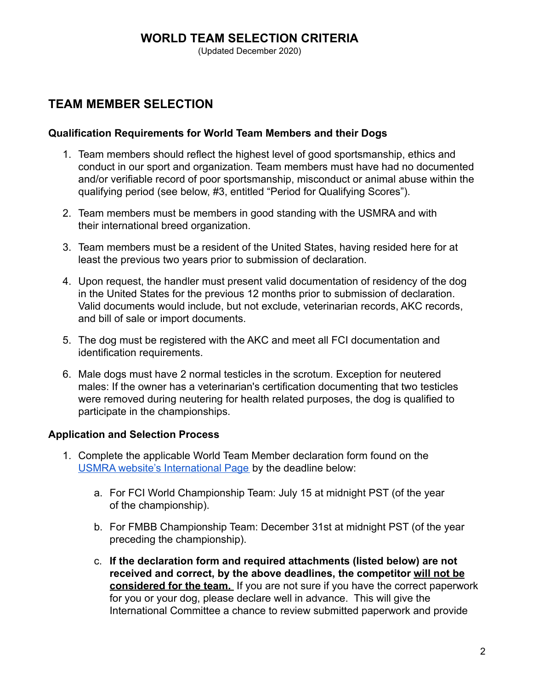(Updated December 2020)

## <span id="page-1-0"></span>**TEAM MEMBER SELECTION**

#### <span id="page-1-1"></span>**Qualification Requirements for World Team Members and their Dogs**

- 1. Team members should reflect the highest level of good sportsmanship, ethics and conduct in our sport and organization. Team members must have had no documented and/or verifiable record of poor sportsmanship, misconduct or animal abuse within the qualifying period (see below, #3, entitled "Period for Qualifying Scores").
- 2. Team members must be members in good standing with the USMRA and with their international breed organization.
- 3. Team members must be a resident of the United States, having resided here for at least the previous two years prior to submission of declaration.
- 4. Upon request, the handler must present valid documentation of residency of the dog in the United States for the previous 12 months prior to submission of declaration. Valid documents would include, but not exclude, veterinarian records, AKC records, and bill of sale or import documents.
- 5. The dog must be registered with the AKC and meet all FCI documentation and identification requirements.
- 6. Male dogs must have 2 normal testicles in the scrotum. Exception for neutered males: If the owner has a veterinarian's certification documenting that two testicles were removed during neutering for health related purposes, the dog is qualified to participate in the championships.

#### <span id="page-1-2"></span>**Application and Selection Process**

- 1. Complete the applicable World Team Member declaration form found on the [USMRA website's International Page](http://www.usmondioring.org/international/) by the deadline below:
	- a. For FCI World Championship Team: July 15 at midnight PST (of the year of the championship).
	- b. For FMBB Championship Team: December 31st at midnight PST (of the year preceding the championship).
	- c. **If the declaration form and required attachments (listed below) are not received and correct, by the above deadlines, the competitor will not be considered for the team.** If you are not sure if you have the correct paperwork for you or your dog, please declare well in advance. This will give the International Committee a chance to review submitted paperwork and provide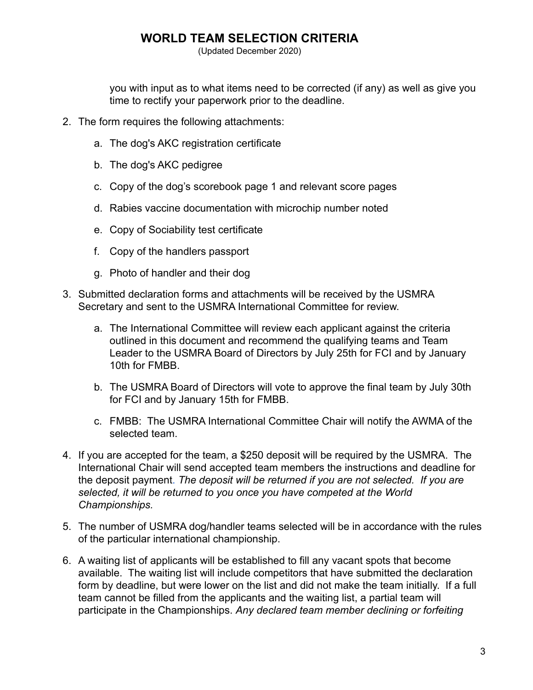(Updated December 2020)

you with input as to what items need to be corrected (if any) as well as give you time to rectify your paperwork prior to the deadline.

- 2. The form requires the following attachments:
	- a. The dog's AKC registration certificate
	- b. The dog's AKC pedigree
	- c. Copy of the dog's scorebook page 1 and relevant score pages
	- d. Rabies vaccine documentation with microchip number noted
	- e. Copy of Sociability test certificate
	- f. Copy of the handlers passport
	- g. Photo of handler and their dog
- 3. Submitted declaration forms and attachments will be received by the USMRA Secretary and sent to the USMRA International Committee for review.
	- a. The International Committee will review each applicant against the criteria outlined in this document and recommend the qualifying teams and Team Leader to the USMRA Board of Directors by July 25th for FCI and by January 10th for FMBB.
	- b. The USMRA Board of Directors will vote to approve the final team by July 30th for FCI and by January 15th for FMBB.
	- c. FMBB: The USMRA International Committee Chair will notify the AWMA of the selected team.
- 4. If you are accepted for the team, a \$250 deposit will be required by the USMRA. The International Chair will send accepted team members the instructions and deadline for the deposit payment. *The deposit will be returned if you are not selected. If you are selected, it will be returned to you once you have competed at the World Championships.*
- 5. The number of USMRA dog/handler teams selected will be in accordance with the rules of the particular international championship.
- 6. A waiting list of applicants will be established to fill any vacant spots that become available. The waiting list will include competitors that have submitted the declaration form by deadline, but were lower on the list and did not make the team initially. If a full team cannot be filled from the applicants and the waiting list, a partial team will participate in the Championships. *Any declared team member declining or forfeiting*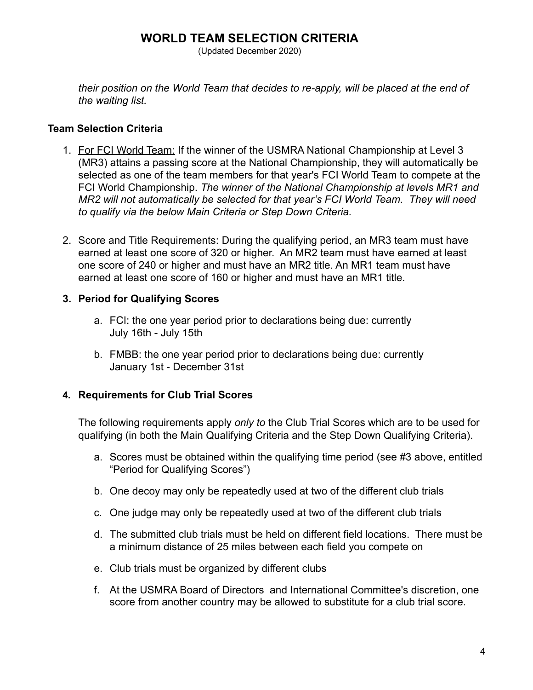(Updated December 2020)

*their position on the World Team that decides to re-apply, will be placed at the end of the waiting list.*

#### <span id="page-3-0"></span>**Team Selection Criteria**

- 1. For FCI World Team: If the winner of the USMRA National Championship at Level 3 (MR3) attains a passing score at the National Championship, they will automatically be selected as one of the team members for that year's FCI World Team to compete at the FCI World Championship. *The winner of the National Championship at levels MR1 and MR2 will not automatically be selected for that year's FCI World Team. They will need to qualify via the below Main Criteria or Step Down Criteria.*
- 2. Score and Title Requirements: During the qualifying period, an MR3 team must have earned at least one score of 320 or higher. An MR2 team must have earned at least one score of 240 or higher and must have an MR2 title. An MR1 team must have earned at least one score of 160 or higher and must have an MR1 title.

#### <span id="page-3-1"></span>**3. Period for Qualifying Scores**

- a. FCI: the one year period prior to declarations being due: currently July 16th - July 15th
- b. FMBB: the one year period prior to declarations being due: currently January 1st - December 31st

#### <span id="page-3-2"></span>**4. Requirements for Club Trial Scores**

The following requirements apply *only to* the Club Trial Scores which are to be used for qualifying (in both the Main Qualifying Criteria and the Step Down Qualifying Criteria).

- a. Scores must be obtained within the qualifying time period (see #3 above, entitled "Period for Qualifying Scores")
- b. One decoy may only be repeatedly used at two of the different club trials
- c. One judge may only be repeatedly used at two of the different club trials
- d. The submitted club trials must be held on different field locations. There must be a minimum distance of 25 miles between each field you compete on
- e. Club trials must be organized by different clubs
- f. At the USMRA Board of Directors and International Committee's discretion, one score from another country may be allowed to substitute for a club trial score.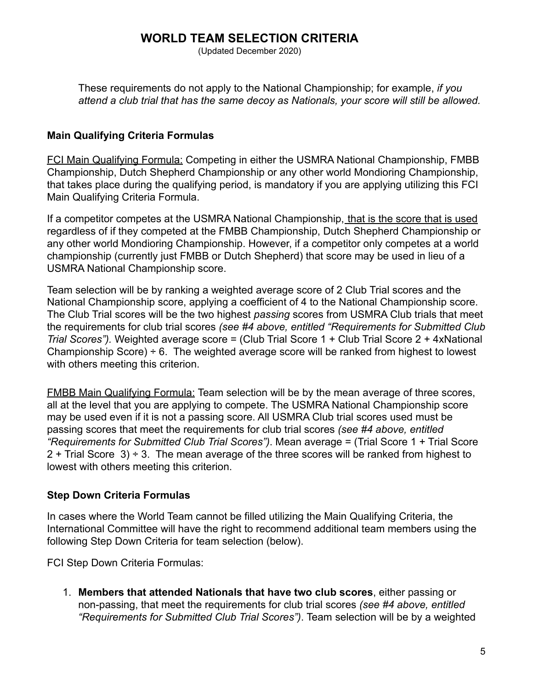(Updated December 2020)

These requirements do not apply to the National Championship; for example, *if you attend a club trial that has the same decoy as Nationals, your score will still be allowed.*

#### <span id="page-4-0"></span>**Main Qualifying Criteria Formulas**

FCI Main Qualifying Formula: Competing in either the USMRA National Championship, FMBB Championship, Dutch Shepherd Championship or any other world Mondioring Championship, that takes place during the qualifying period, is mandatory if you are applying utilizing this FCI Main Qualifying Criteria Formula.

If a competitor competes at the USMRA National Championship, that is the score that is used regardless of if they competed at the FMBB Championship, Dutch Shepherd Championship or any other world Mondioring Championship. However, if a competitor only competes at a world championship (currently just FMBB or Dutch Shepherd) that score may be used in lieu of a USMRA National Championship score.

Team selection will be by ranking a weighted average score of 2 Club Trial scores and the National Championship score, applying a coefficient of 4 to the National Championship score. The Club Trial scores will be the two highest *passing* scores from USMRA Club trials that meet the requirements for club trial scores *(see #4 above, entitled "Requirements for Submitted Club Trial Scores").* Weighted average score = (Club Trial Score 1 + Club Trial Score 2 + 4xNational Championship Score)  $\div$  6. The weighted average score will be ranked from highest to lowest with others meeting this criterion.

FMBB Main Qualifying Formula: Team selection will be by the mean average of three scores, all at the level that you are applying to compete. The USMRA National Championship score may be used even if it is not a passing score. All USMRA Club trial scores used must be passing scores that meet the requirements for club trial scores *(see #4 above, entitled "Requirements for Submitted Club Trial Scores")*. Mean average = (Trial Score 1 + Trial Score  $2 +$  Trial Score 3)  $\div$  3. The mean average of the three scores will be ranked from highest to lowest with others meeting this criterion.

#### <span id="page-4-1"></span>**Step Down Criteria Formulas**

In cases where the World Team cannot be filled utilizing the Main Qualifying Criteria, the International Committee will have the right to recommend additional team members using the following Step Down Criteria for team selection (below).

FCI Step Down Criteria Formulas:

1. **Members that attended Nationals that have two club scores**, either passing or non-passing, that meet the requirements for club trial scores *(see #4 above, entitled "Requirements for Submitted Club Trial Scores")*. Team selection will be by a weighted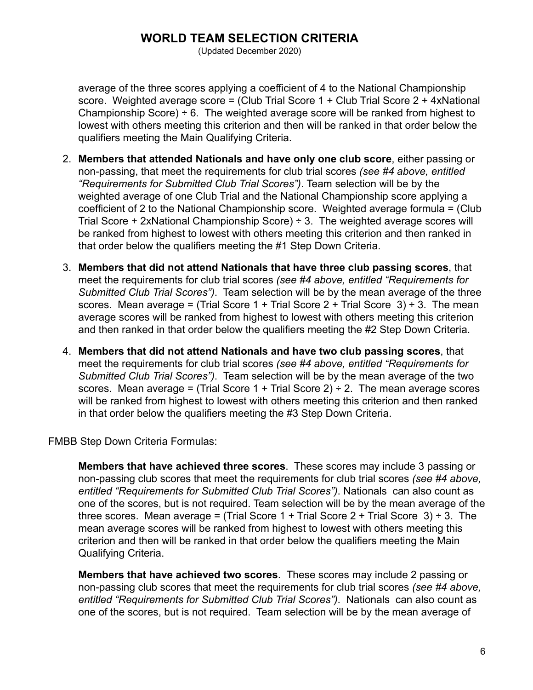(Updated December 2020)

average of the three scores applying a coefficient of 4 to the National Championship score. Weighted average score = (Club Trial Score 1 + Club Trial Score 2 + 4xNational Championship Score)  $\div$  6. The weighted average score will be ranked from highest to lowest with others meeting this criterion and then will be ranked in that order below the qualifiers meeting the Main Qualifying Criteria.

- 2. **Members that attended Nationals and have only one club score**, either passing or non-passing, that meet the requirements for club trial scores *(see #4 above, entitled "Requirements for Submitted Club Trial Scores")*. Team selection will be by the weighted average of one Club Trial and the National Championship score applying a coefficient of 2 to the National Championship score. Weighted average formula = (Club Trial Score  $+$  2xNational Championship Score)  $\div$  3. The weighted average scores will be ranked from highest to lowest with others meeting this criterion and then ranked in that order below the qualifiers meeting the #1 Step Down Criteria.
- 3. **Members that did not attend Nationals that have three club passing scores**, that meet the requirements for club trial scores *(see #4 above, entitled "Requirements for Submitted Club Trial Scores")*. Team selection will be by the mean average of the three scores. Mean average = (Trial Score 1 + Trial Score 2 + Trial Score 3)  $\div$  3. The mean average scores will be ranked from highest to lowest with others meeting this criterion and then ranked in that order below the qualifiers meeting the #2 Step Down Criteria.
- 4. **Members that did not attend Nationals and have two club passing scores**, that meet the requirements for club trial scores *(see #4 above, entitled "Requirements for Submitted Club Trial Scores")*. Team selection will be by the mean average of the two scores. Mean average = (Trial Score 1 + Trial Score 2)  $\div$  2. The mean average scores will be ranked from highest to lowest with others meeting this criterion and then ranked in that order below the qualifiers meeting the #3 Step Down Criteria.

FMBB Step Down Criteria Formulas:

**Members that have achieved three scores**. These scores may include 3 passing or non-passing club scores that meet the requirements for club trial scores *(see #4 above, entitled "Requirements for Submitted Club Trial Scores")*. Nationals can also count as one of the scores, but is not required. Team selection will be by the mean average of the three scores. Mean average = (Trial Score  $1 +$  Trial Score  $2 +$  Trial Score  $3) \div 3$ . The mean average scores will be ranked from highest to lowest with others meeting this criterion and then will be ranked in that order below the qualifiers meeting the Main Qualifying Criteria.

**Members that have achieved two scores**. These scores may include 2 passing or non-passing club scores that meet the requirements for club trial scores *(see #4 above, entitled "Requirements for Submitted Club Trial Scores")*. Nationals can also count as one of the scores, but is not required. Team selection will be by the mean average of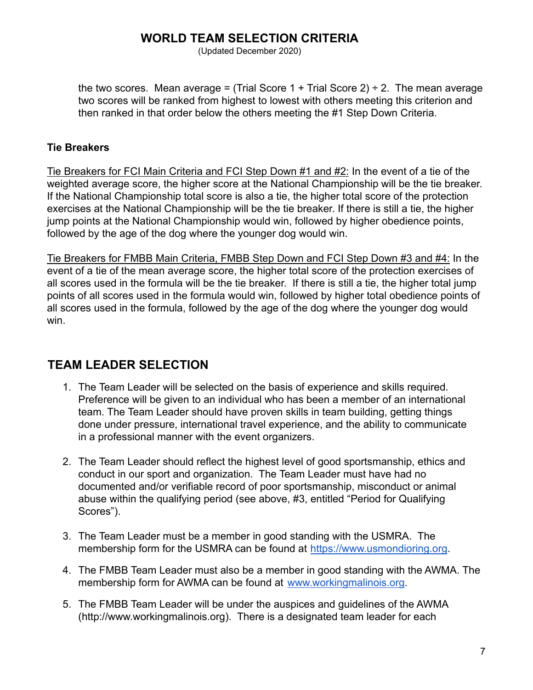(Updated December 2020)

the two scores. Mean average = (Trial Score 1 + Trial Score 2)  $\div$  2. The mean average two scores will be ranked from highest to lowest with others meeting this criterion and then ranked in that order below the others meeting the #1 Step Down Criteria.

#### <span id="page-6-0"></span>**Tie Breakers**

Tie Breakers for FCI Main Criteria and FCI Step Down #1 and #2: In the event of a tie of the weighted average score, the higher score at the National Championship will be the tie breaker. If the National Championship total score is also a tie, the higher total score of the protection exercises at the National Championship will be the tie breaker. If there is still a tie, the higher jump points at the National Championship would win, followed by higher obedience points, followed by the age of the dog where the younger dog would win.

Tie Breakers for FMBB Main Criteria, FMBB Step Down and FCI Step Down #3 and #4: In the event of a tie of the mean average score, the higher total score of the protection exercises of all scores used in the formula will be the tie breaker. If there is still a tie, the higher total jump points of all scores used in the formula would win, followed by higher total obedience points of all scores used in the formula, followed by the age of the dog where the younger dog would win.

# <span id="page-6-1"></span>**TEAM LEADER SELECTION**

- 1. The Team Leader will be selected on the basis of experience and skills required. Preference will be given to an individual who has been a member of an international team. The Team Leader should have proven skills in team building, getting things done under pressure, international travel experience, and the ability to communicate in a professional manner with the event organizers.
- 2. The Team Leader should reflect the highest level of good sportsmanship, ethics and conduct in our sport and organization. The Team Leader must have had no documented and/or verifiable record of poor sportsmanship, misconduct or animal abuse within the qualifying period (see above, #3, entitled "Period for Qualifying Scores").
- 3. The Team Leader must be a member in good standing with the USMRA. The membership form for the USMRA can be found at <https://www.usmondioring.org>.
- 4. The FMBB Team Leader must also be a member in good standing with the AWMA. The membership form for AWMA can be found at [www.workingmalinois.org](http://www.workingmalinois.org).
- 5. The FMBB Team Leader will be under the auspices and guidelines of the AWMA (http://www.workingmalinois.org). There is a designated team leader for each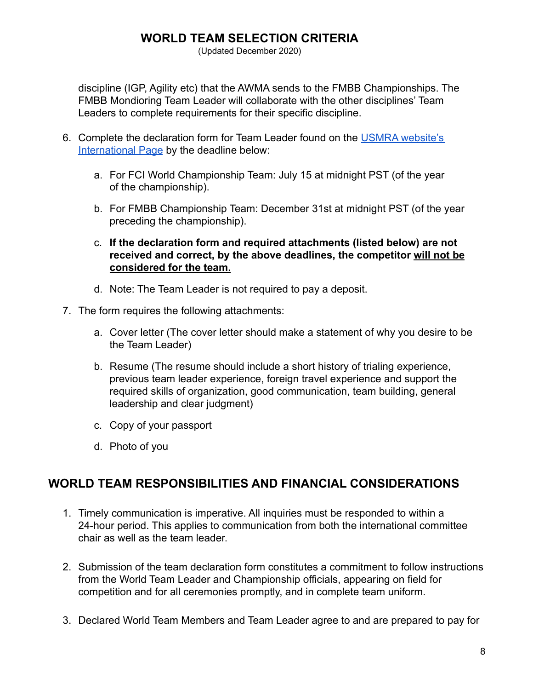(Updated December 2020)

discipline (IGP, Agility etc) that the AWMA sends to the FMBB Championships. The FMBB Mondioring Team Leader will collaborate with the other disciplines' Team Leaders to complete requirements for their specific discipline.

- 6. Complete the declaration form for Team Leader found on the [USMRA website's](http://www.usmondioring.org/international/) [International Page](http://www.usmondioring.org/international/) by the deadline below:
	- a. For FCI World Championship Team: July 15 at midnight PST (of the year of the championship).
	- b. For FMBB Championship Team: December 31st at midnight PST (of the year preceding the championship).
	- c. **If the declaration form and required attachments (listed below) are not received and correct, by the above deadlines, the competitor will not be considered for the team.**
	- d. Note: The Team Leader is not required to pay a deposit.
- 7. The form requires the following attachments:
	- a. Cover letter (The cover letter should make a statement of why you desire to be the Team Leader)
	- b. Resume (The resume should include a short history of trialing experience, previous team leader experience, foreign travel experience and support the required skills of organization, good communication, team building, general leadership and clear judgment)
	- c. Copy of your passport
	- d. Photo of you

## <span id="page-7-0"></span>**WORLD TEAM RESPONSIBILITIES AND FINANCIAL CONSIDERATIONS**

- 1. Timely communication is imperative. All inquiries must be responded to within a 24-hour period. This applies to communication from both the international committee chair as well as the team leader.
- 2. Submission of the team declaration form constitutes a commitment to follow instructions from the World Team Leader and Championship officials, appearing on field for competition and for all ceremonies promptly, and in complete team uniform.
- 3. Declared World Team Members and Team Leader agree to and are prepared to pay for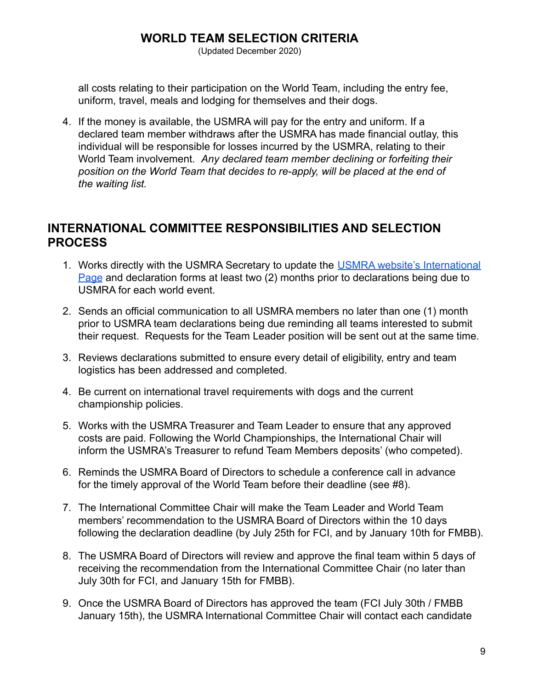(Updated December 2020)

all costs relating to their participation on the World Team, including the entry fee, uniform, travel, meals and lodging for themselves and their dogs.

4. If the money is available, the USMRA will pay for the entry and uniform. If a declared team member withdraws after the USMRA has made financial outlay, this individual will be responsible for losses incurred by the USMRA, relating to their World Team involvement. *Any declared team member declining or forfeiting their position on the World Team that decides to re-apply, will be placed at the end of the waiting list.*

### <span id="page-8-0"></span>**INTERNATIONAL COMMITTEE RESPONSIBILITIES AND SELECTION PROCESS**

- 1. Works directly with the USMRA Secretary to update the [USMRA website's International](http://www.usmondioring.org/international/) [Page](http://www.usmondioring.org/international/) and declaration forms at least two (2) months prior to declarations being due to USMRA for each world event.
- 2. Sends an official communication to all USMRA members no later than one (1) month prior to USMRA team declarations being due reminding all teams interested to submit their request. Requests for the Team Leader position will be sent out at the same time.
- 3. Reviews declarations submitted to ensure every detail of eligibility, entry and team logistics has been addressed and completed.
- 4. Be current on international travel requirements with dogs and the current championship policies.
- 5. Works with the USMRA Treasurer and Team Leader to ensure that any approved costs are paid. Following the World Championships, the International Chair will inform the USMRA's Treasurer to refund Team Members deposits' (who competed).
- 6. Reminds the USMRA Board of Directors to schedule a conference call in advance for the timely approval of the World Team before their deadline (see #8).
- 7. The International Committee Chair will make the Team Leader and World Team members' recommendation to the USMRA Board of Directors within the 10 days following the declaration deadline (by July 25th for FCI, and by January 10th for FMBB).
- 8. The USMRA Board of Directors will review and approve the final team within 5 days of receiving the recommendation from the International Committee Chair (no later than July 30th for FCI, and January 15th for FMBB).
- 9. Once the USMRA Board of Directors has approved the team (FCI July 30th / FMBB January 15th), the USMRA International Committee Chair will contact each candidate